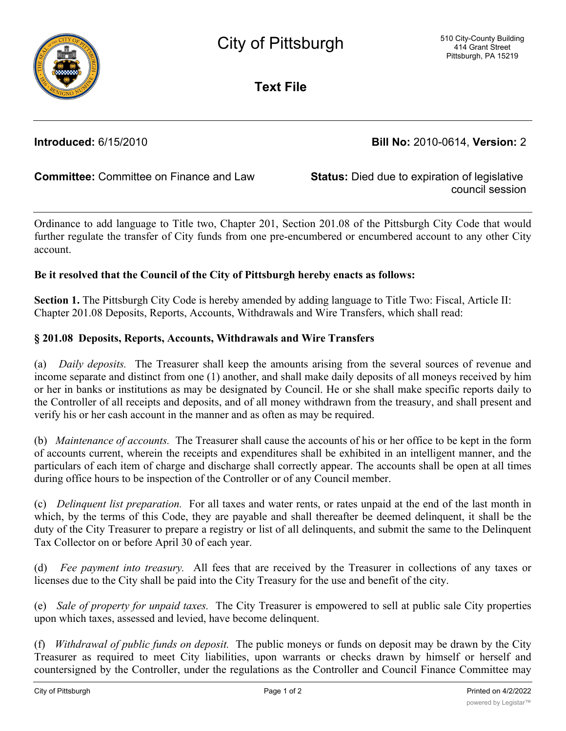

**Text File**

**Introduced:** 6/15/2010 **Bill No:** 2010-0614, **Version:** 2

**Committee:** Committee on Finance and Law **Status:** Died due to expiration of legislative

council session

Ordinance to add language to Title two, Chapter 201, Section 201.08 of the Pittsburgh City Code that would further regulate the transfer of City funds from one pre-encumbered or encumbered account to any other City account.

## **Be it resolved that the Council of the City of Pittsburgh hereby enacts as follows:**

**Section 1.** The Pittsburgh City Code is hereby amended by adding language to Title Two: Fiscal, Article II: Chapter 201.08 Deposits, Reports, Accounts, Withdrawals and Wire Transfers, which shall read:

## **§ 201.08 Deposits, Reports, Accounts, Withdrawals and Wire Transfers**

(a) *Daily deposits.* The Treasurer shall keep the amounts arising from the several sources of revenue and income separate and distinct from one (1) another, and shall make daily deposits of all moneys received by him or her in banks or institutions as may be designated by Council. He or she shall make specific reports daily to the Controller of all receipts and deposits, and of all money withdrawn from the treasury, and shall present and verify his or her cash account in the manner and as often as may be required.

(b) *Maintenance of accounts.* The Treasurer shall cause the accounts of his or her office to be kept in the form of accounts current, wherein the receipts and expenditures shall be exhibited in an intelligent manner, and the particulars of each item of charge and discharge shall correctly appear. The accounts shall be open at all times during office hours to be inspection of the Controller or of any Council member.

(c) *Delinquent list preparation.* For all taxes and water rents, or rates unpaid at the end of the last month in which, by the terms of this Code, they are payable and shall thereafter be deemed delinquent, it shall be the duty of the City Treasurer to prepare a registry or list of all delinquents, and submit the same to the Delinquent Tax Collector on or before April 30 of each year.

(d) *Fee payment into treasury.* All fees that are received by the Treasurer in collections of any taxes or licenses due to the City shall be paid into the City Treasury for the use and benefit of the city.

(e) *Sale of property for unpaid taxes.* The City Treasurer is empowered to sell at public sale City properties upon which taxes, assessed and levied, have become delinquent.

(f) *Withdrawal of public funds on deposit.* The public moneys or funds on deposit may be drawn by the City Treasurer as required to meet City liabilities, upon warrants or checks drawn by himself or herself and countersigned by the Controller, under the regulations as the Controller and Council Finance Committee may